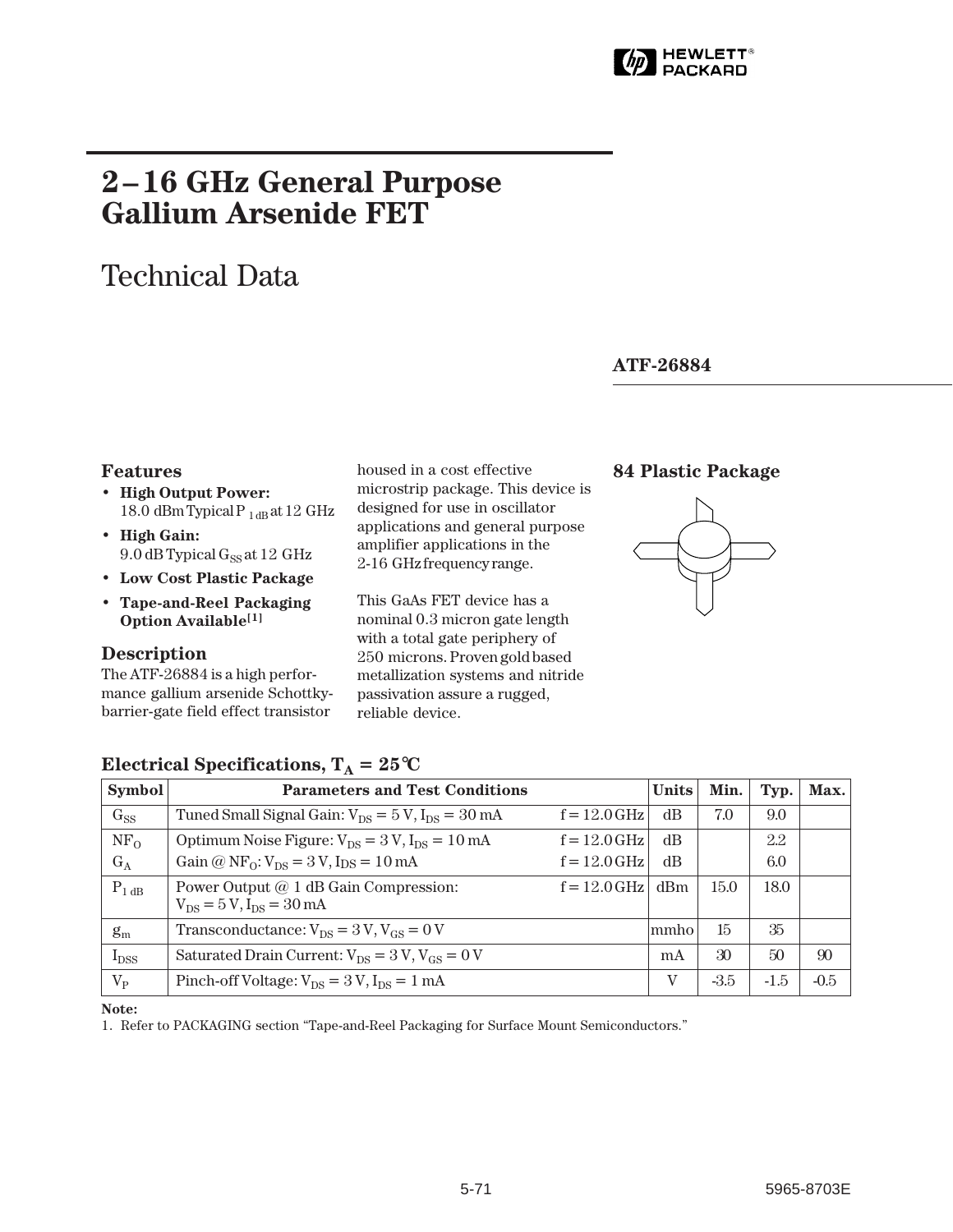

# **2–16 GHz General Purpose Gallium Arsenide FET**

# Technical Data

## **ATF-26884**

## **Features**

- **High Output Power:** 18.0 dBm Typical P  $_{1\,\text{dB}}$  at 12 GHz
- **High Gain:** 9.0 dB Typical G<sub>SS</sub> at 12 GHz
- **Low Cost Plastic Package**
- **Tape-and-Reel Packaging Option Available[1]**

## **Description**

The ATF-26884 is a high performance gallium arsenide Schottkybarrier-gate field effect transistor

housed in a cost effective microstrip package. This device is designed for use in oscillator applications and general purpose amplifier applications in the 2-16 GHz frequency range.

This GaAs FET device has a nominal 0.3 micron gate length with a total gate periphery of 250␣ microns. Proven gold based metallization systems and nitride passivation assure a rugged, reliable device.

## **84 Plastic Package**



| <b>Symbol</b>   | <b>Parameters and Test Conditions</b>                                      | <b>Units</b>   | Min. | Typ.   | Max.   |        |
|-----------------|----------------------------------------------------------------------------|----------------|------|--------|--------|--------|
| $G_{SS}$        | Tuned Small Signal Gain: $V_{DS} = 5 V$ , $I_{DS} = 30 mA$                 | $f = 12.0$ GHz | dB   | 7.0    | 9.0    |        |
| NF <sub>O</sub> | Optimum Noise Figure: $V_{DS} = 3 V$ , $I_{DS} = 10 mA$                    | $f = 12.0$ GHz | dB   |        | 2.2    |        |
| $G_A$           | Gain @ $NF_0$ : $V_{DS} = 3 V$ , $I_{DS} = 10$ mA                          | $f = 12.0$ GHz | dB   |        | 6.0    |        |
| $P_{1 dB}$      | Power Output @ 1 dB Gain Compression:<br>$V_{DS} = 5 V$ , $I_{DS} = 30$ mA | $f = 12.0$ GHz | dBm  | 15.0   | 18.0   |        |
| $g_m$           | Transconductance: $V_{DS} = 3 V$ , $V_{GS} = 0 V$                          |                | mmho | 15     | 35     |        |
| $I_{DSS}$       | Saturated Drain Current: $V_{DS} = 3 V$ , $V_{GS} = 0 V$                   |                | mA   | 30     | 50     | 90     |
| $V_{P}$         | Pinch-off Voltage: $V_{DS} = 3 V$ , $I_{DS} = 1 mA$                        |                | V    | $-3.5$ | $-1.5$ | $-0.5$ |

## **Electrical Specifications,**  $T_A = 25^{\circ}C$

**Note:**

1. Refer to PACKAGING section "Tape-and-Reel Packaging for Surface Mount Semiconductors."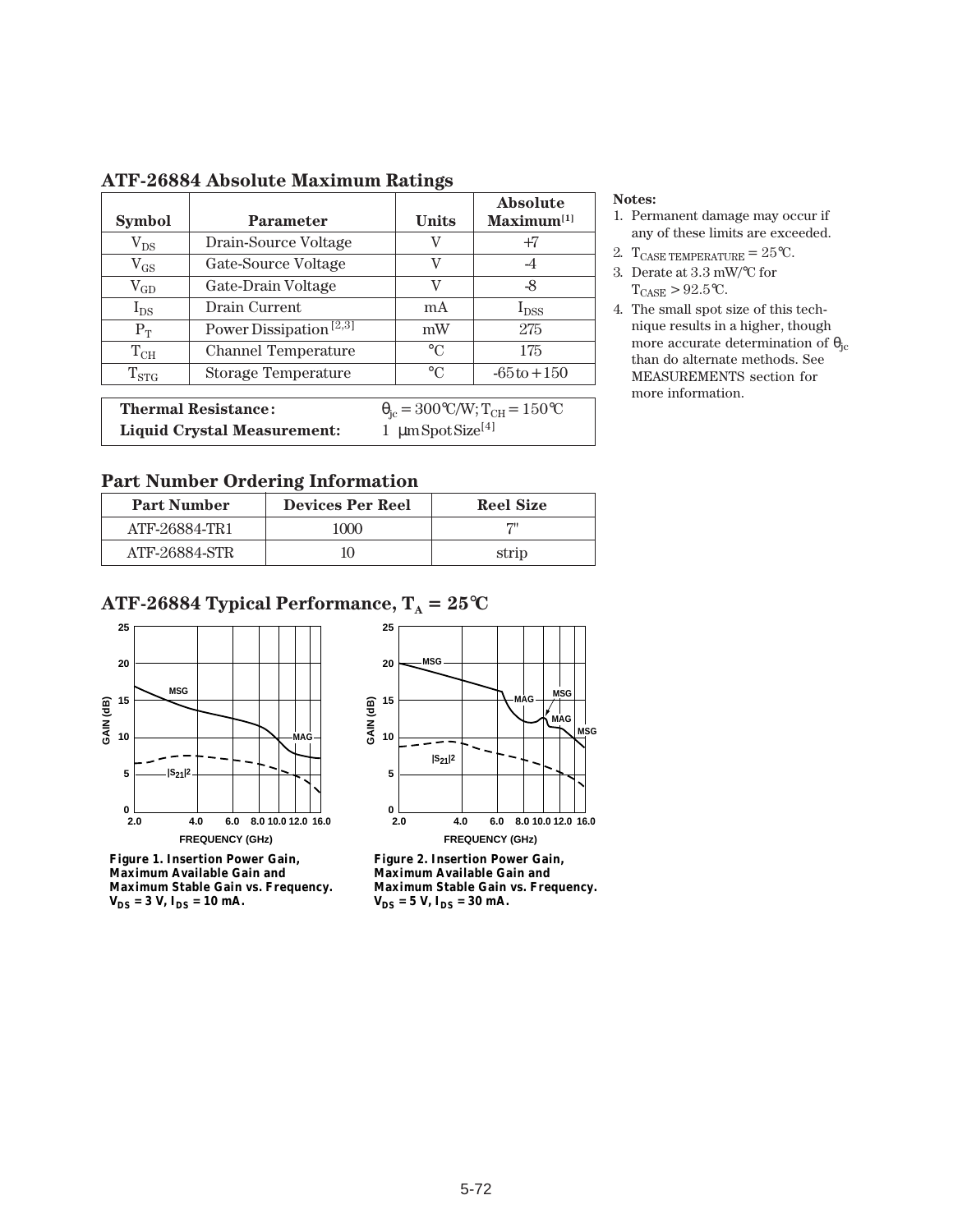|               |                                    |           | <b>Absolute</b> |
|---------------|------------------------------------|-----------|-----------------|
| <b>Symbol</b> | <b>Parameter</b>                   | Units     | $Maximum^{[1]}$ |
| $\rm V_{DS}$  | Drain-Source Voltage               | V         | +7              |
| $\rm V_{GS}$  | Gate-Source Voltage                | V         | -4              |
| $\rm V_{GD}$  | Gate-Drain Voltage                 | V         | -8              |
| $I_{DS}$      | Drain Current                      | mA        | $I_{DSS}$       |
| $P_T$         | Power Dissipation <sup>[2,3]</sup> | mW        | 275             |
| $\rm T_{CH}$  | <b>Channel Temperature</b>         | $\circ$ C | 175             |
| $T_{STG}$     | <b>Storage Temperature</b>         | $\circ$ C | $-65t_0 + 150$  |
|               |                                    |           |                 |

## **ATF-26884 Absolute Maximum Ratings**

**Thermal Resistance:**  $\theta_{jc} = 300^{\circ}C/W$ ;  $T_{CH} = 150^{\circ}C$ <br>**Liquid Crystal Measurement:** 1  $\mu$ m Spot Size<sup>[4]</sup> Liquid Crystal Measurement:

#### **Notes:**

- 1. Permanent damage may occur if any of these limits are exceeded.
- 2. TCASE TEMPERATURE =  $25^{\circ}$ C.
- 3. Derate at 3.3 mW/°C for  $T_{\text{CASE}} > 92.5$ °C.
- 4. The small spot size of this technique results in a higher, though more accurate determination of  $\theta_{\rm jc}$ than do alternate methods. See MEASUREMENTS section for more information.

## **Part Number Ordering Information**

| <b>Part Number</b> | <b>Devices Per Reel</b> | <b>Reel Size</b> |
|--------------------|-------------------------|------------------|
| ATF-26884-TR1      | 1000                    | 711              |
| ATF-26884-STR      |                         | strip            |

## **ATF-26884 Typical Performance,**  $T_A = 25^{\circ}C$



**Figure 1. Insertion Power Gain, Maximum Available Gain and Maximum Stable Gain vs. Frequency.**   $V_{DS} = 3 V$ ,  $I_{DS} = 10 mA$ .



**Figure 2. Insertion Power Gain, Maximum Available Gain and Maximum Stable Gain vs. Frequency.**   $V_{DS} = 5 V$ ,  $I_{DS} = 30 mA$ .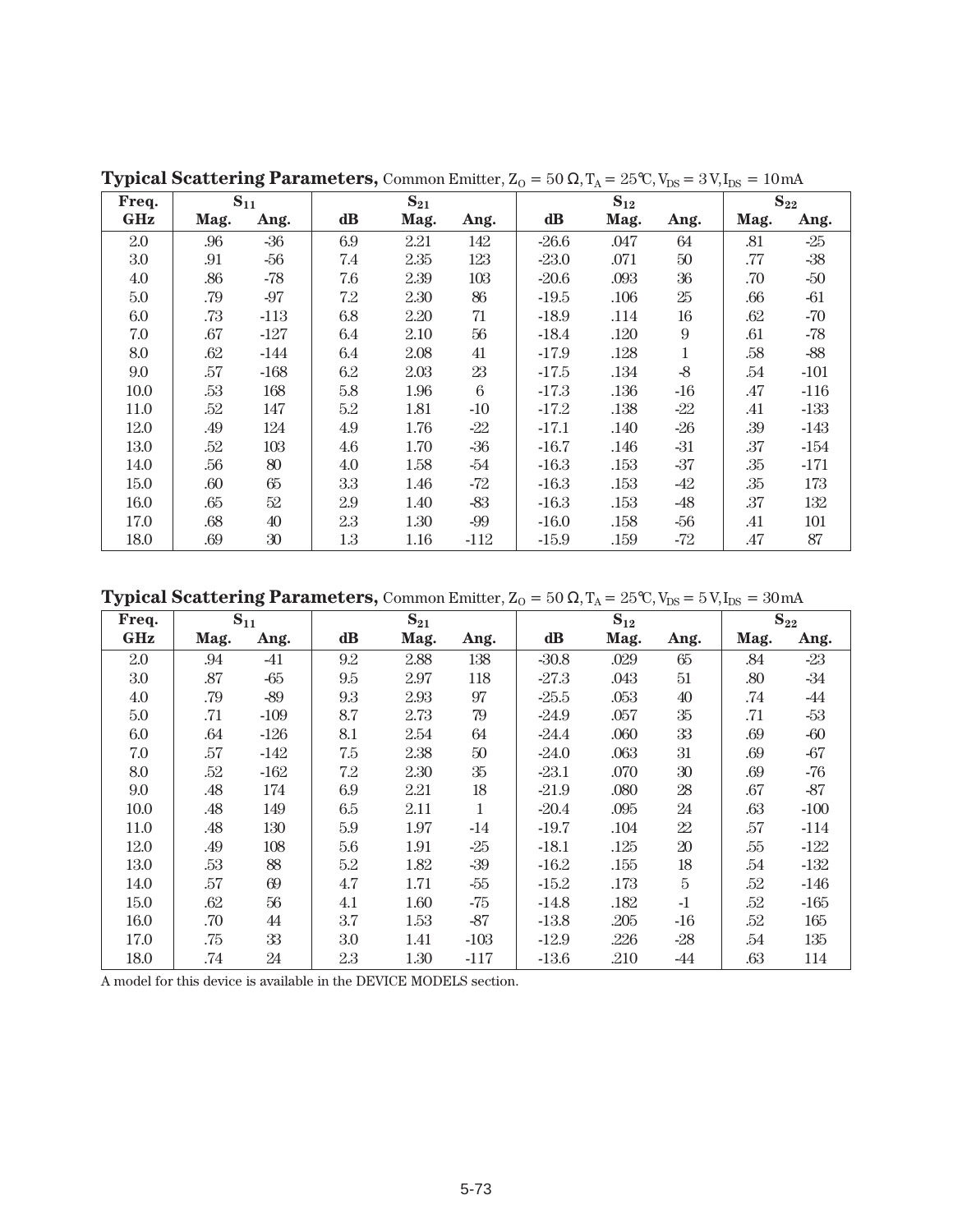| Freq. |      | $S_{11}$ |               | $S_{21}$ |        | $S_{12}$      |          | $S_{22}$         |      |        |
|-------|------|----------|---------------|----------|--------|---------------|----------|------------------|------|--------|
| GHz   | Mag. | Ang.     | $\mathbf{dB}$ | Mag.     | Ang.   | $\mathbf{dB}$ | Mag.     | Ang.             | Mag. | Ang.   |
| 2.0   | .96  | $-36$    | 6.9           | 2.21     | 142    | $-26.6$       | .047     | 64               | .81  | $-25$  |
| 3.0   | .91  | $-56$    | 7.4           | 2.35     | 123    | $-23.0$       | .071     | $50\,$           | .77  | $-38$  |
| 4.0   | .86  | $-78$    | 7.6           | 2.39     | 103    | $-20.6$       | .093     | $36\,$           | .70  | $-50$  |
| 5.0   | .79  | $-97$    | 7.2           | 2.30     | 86     | $-19.5$       | .106     | $25\,$           | .66  | -61    |
| 6.0   | .73  | $-113$   | 6.8           | 2.20     | 71     | $-18.9$       | .114     | 16               | .62  | $-70$  |
| 7.0   | .67  | $-127$   | 6.4           | 2.10     | 56     | $-18.4$       | .120     | $\boldsymbol{9}$ | .61  | $-78$  |
| 8.0   | .62  | $-144$   | 6.4           | 2.08     | 41     | $-17.9$       | .128     | 1                | .58  | $-88$  |
| 9.0   | .57  | $-168$   | 6.2           | 2.03     | 23     | $-17.5$       | $.134\,$ | $-8$             | .54  | $-101$ |
| 10.0  | .53  | 168      | 5.8           | 1.96     | 6      | $-17.3$       | .136     | $-16$            | .47  | $-116$ |
| 11.0  | .52  | 147      | 5.2           | 1.81     | $-10$  | $-17.2$       | .138     | $-22$            | .41  | $-133$ |
| 12.0  | .49  | 124      | 4.9           | 1.76     | $-22$  | $-17.1$       | .140     | $-26$            | .39  | $-143$ |
| 13.0  | .52  | 103      | 4.6           | 1.70     | $-36$  | $-16.7$       | .146     | $-31$            | .37  | $-154$ |
| 14.0  | .56  | 80       | 4.0           | 1.58     | $-54$  | $-16.3$       | .153     | $-37$            | .35  | $-171$ |
| 15.0  | .60  | 65       | 3.3           | 1.46     | $-72$  | $-16.3$       | .153     | -42              | .35  | 173    |
| 16.0  | .65  | 52       | 2.9           | 1.40     | $-83$  | $-16.3$       | .153     | $-48$            | .37  | 132    |
| 17.0  | .68  | 40       | 2.3           | 1.30     | $-99$  | $-16.0$       | .158     | $-56$            | .41  | 101    |
| 18.0  | .69  | $30\,$   | 1.3           | 1.16     | $-112$ | $-15.9$       | .159     | -72              | .47  | 87     |

**Typical Scattering Parameters,** Common Emitter,  $Z_0 = 50 \Omega$ ,  $T_A = 25 \text{°C}$ ,  $V_{DS} = 3 \text{ V}$ ,  $I_{DS} = 10 \text{ mA}$ 

**Typical Scattering Parameters,** Common Emitter,  $Z_0 = 50 \Omega$ ,  $T_A = 25 \text{°C}$ ,  $V_{DS} = 5 \text{ V}$ ,  $I_{DS} = 30 \text{ mA}$ 

| Freq.      |      | $S_{11}$ |          | $S_{21}$ |        | $S_{12}$ |      | $S_{22}$ |      |        |
|------------|------|----------|----------|----------|--------|----------|------|----------|------|--------|
| <b>GHz</b> | Mag. | Ang.     | $\bf dB$ | Mag.     | Ang.   | dB       | Mag. | Ang.     | Mag. | Ang.   |
| 2.0        | .94  | $-41$    | 9.2      | 2.88     | 138    | $-30.8$  | .029 | 65       | .84  | $-23$  |
| 3.0        | .87  | $-65$    | 9.5      | 2.97     | 118    | $-27.3$  | .043 | 51       | .80  | $-34$  |
| 4.0        | .79  | $-89$    | 9.3      | 2.93     | 97     | $-25.5$  | .053 | 40       | .74  | -44    |
| 5.0        | .71  | $-109$   | 8.7      | 2.73     | 79     | $-24.9$  | .057 | $35\,$   | .71  | $-53$  |
| 6.0        | .64  | $-126$   | 8.1      | 2.54     | 64     | $-24.4$  | .060 | 33       | .69  | -60    |
| 7.0        | .57  | -142     | 7.5      | 2.38     | $50\,$ | $-24.0$  | .063 | 31       | .69  | $-67$  |
| 8.0        | .52  | $-162$   | 7.2      | 2.30     | 35     | $-23.1$  | .070 | $30\,$   | .69  | $-76$  |
| 9.0        | .48  | 174      | 6.9      | 2.21     | 18     | $-21.9$  | .080 | 28       | .67  | $-87$  |
| 10.0       | .48  | 149      | 6.5      | 2.11     | 1      | $-20.4$  | .095 | 24       | .63  | $-100$ |
| 11.0       | .48  | 130      | 5.9      | 1.97     | $-14$  | $-19.7$  | .104 | 22       | .57  | $-114$ |
| 12.0       | .49  | 108      | 5.6      | 1.91     | $-25$  | $-18.1$  | .125 | 20       | .55  | $-122$ |
| 13.0       | .53  | 88       | 5.2      | 1.82     | $-39$  | $-16.2$  | .155 | 18       | .54  | $-132$ |
| 14.0       | .57  | 69       | 4.7      | 1.71     | $-55$  | $-15.2$  | .173 | $\rm 5$  | .52  | $-146$ |
| 15.0       | .62  | 56       | 4.1      | 1.60     | $-75$  | $-14.8$  | .182 | $-1$     | .52  | $-165$ |
| 16.0       | .70  | 44       | 3.7      | 1.53     | $-87$  | $-13.8$  | .205 | $-16$    | .52  | 165    |
| 17.0       | .75  | 33       | 3.0      | 1.41     | $-103$ | $-12.9$  | .226 | $-28$    | .54  | 135    |
| 18.0       | .74  | 24       | 2.3      | 1.30     | $-117$ | $-13.6$  | .210 | -44      | .63  | 114    |

A model for this device is available in the DEVICE MODELS section.